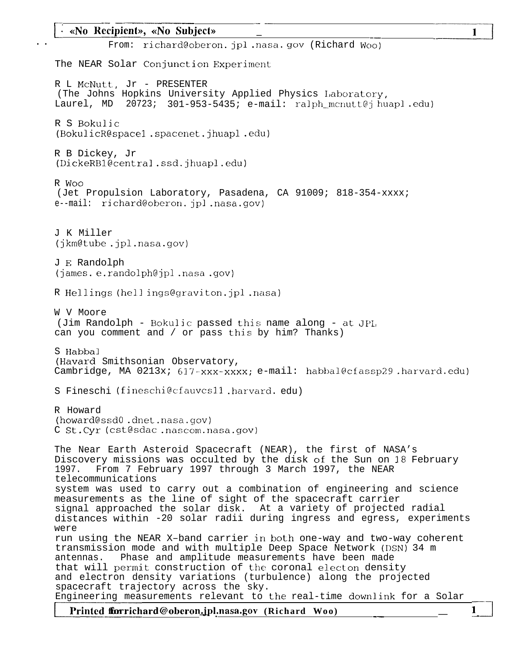| · «No Recipient», «No Subject»<br>1                                                                                                                                                                                                                                                           |
|-----------------------------------------------------------------------------------------------------------------------------------------------------------------------------------------------------------------------------------------------------------------------------------------------|
| From: richard@oberon.jpl.nasa.gov (Richard Woo)                                                                                                                                                                                                                                               |
| The NEAR Solar Conjunction Experiment                                                                                                                                                                                                                                                         |
| R L McNutt, Jr - PRESENTER<br>(The Johns Hopkins University Applied Physics Laboratory,<br>Laurel, MD $20723$ ; $301-953-5435$ ; e-mail: ralph_mcnutt@j huapl.edu)                                                                                                                            |
| R S Bokulic<br>(BokulicR@space1.spacenet.jhuapl.edu)                                                                                                                                                                                                                                          |
| R B Dickey, Jr<br>(DickeRB1@central.ssd.jhuapl.edu)                                                                                                                                                                                                                                           |
| R Woo<br>(Jet Propulsion Laboratory, Pasadena, CA 91009; 818-354-xxxx;<br>e--mail: richard@oberon.jpl.nasa.gov)                                                                                                                                                                               |
| J K Miller<br>(jkm@tube.jpl.nasa.gov)                                                                                                                                                                                                                                                         |
| J E Randolph<br>(james.e.randolph@jpl.nasa.gov)                                                                                                                                                                                                                                               |
| R Hellings (hellings@graviton.jpl.nasa)                                                                                                                                                                                                                                                       |
| W V Moore<br>(Jim Randolph - Bokulic passed this name along - at JPL<br>can you comment and / or pass this by him? Thanks)                                                                                                                                                                    |
| S Habbal<br>(Havard Smithsonian Observatory,<br>Cambridge, MA 0213x; 617-xxx-xxxx; e-mail: habbal@cfassp29.harvard.edu)                                                                                                                                                                       |
| S Fineschi (fineschi@efauvcs11, harvard. edu)                                                                                                                                                                                                                                                 |
| R Howard<br>(howard@ssd0.dnet.nasa.gov)<br>C St. Cyr (cst@sdac.nascom.nasa.gov)                                                                                                                                                                                                               |
| The Near Earth Asteroid Spacecraft (NEAR), the first of NASA's<br>Discovery missions was occulted by the disk of the Sun on 18 February<br>1997. From 7 February 1997 through 3 March 1997, the NEAR<br>telecommunications                                                                    |
| system was used to carry out a combination of engineering and science<br>measurements as the line of sight of the spacecraft carrier<br>signal approached the solar disk. At a variety of projected radial<br>distances within -20 solar radii during ingress and egress, experiments<br>were |
| run using the NEAR X-band carrier in both one-way and two-way coherent<br>transmission mode and with multiple Deep Space Network (DSN) 34 m<br>Phase and amplitude measurements have been made<br>antennas.                                                                                   |
| that will permit construction of the coronal electon density<br>and electron density variations (turbulence) along the projected<br>spacecraft trajectory across the sky.                                                                                                                     |
| Engineering measurements relevant to the real-time downlink for a Solar                                                                                                                                                                                                                       |
| Printed forrichard@oberon.jpl.nasa.gov (Richard Woo)                                                                                                                                                                                                                                          |

**. .**